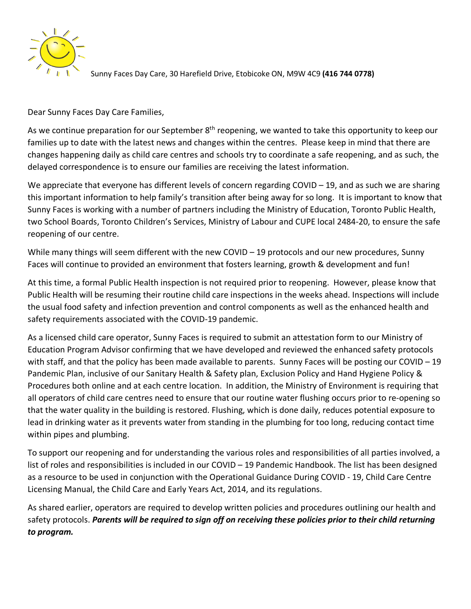

Sunny Faces Day Care, 30 Harefield Drive, Etobicoke ON, M9W 4C9 **(416 744 0778)**

Dear Sunny Faces Day Care Families,

As we continue preparation for our September 8<sup>th</sup> reopening, we wanted to take this opportunity to keep our families up to date with the latest news and changes within the centres. Please keep in mind that there are changes happening daily as child care centres and schools try to coordinate a safe reopening, and as such, the delayed correspondence is to ensure our families are receiving the latest information.

We appreciate that everyone has different levels of concern regarding COVID – 19, and as such we are sharing this important information to help family's transition after being away for so long. It is important to know that Sunny Faces is working with a number of partners including the Ministry of Education, Toronto Public Health, two School Boards, Toronto Children's Services, Ministry of Labour and CUPE local 2484-20, to ensure the safe reopening of our centre.

While many things will seem different with the new COVID – 19 protocols and our new procedures, Sunny Faces will continue to provided an environment that fosters learning, growth & development and fun!

At this time, a formal Public Health inspection is not required prior to reopening. However, please know that Public Health will be resuming their routine child care inspections in the weeks ahead. Inspections will include the usual food safety and infection prevention and control components as well as the enhanced health and safety requirements associated with the COVID-19 pandemic.

As a licensed child care operator, Sunny Faces is required to submit an attestation form to our Ministry of Education Program Advisor confirming that we have developed and reviewed the enhanced safety protocols with staff, and that the policy has been made available to parents. Sunny Faces will be posting our COVID – 19 Pandemic Plan, inclusive of our Sanitary Health & Safety plan, Exclusion Policy and Hand Hygiene Policy & Procedures both online and at each centre location. In addition, the Ministry of Environment is requiring that all operators of child care centres need to ensure that our routine water flushing occurs prior to re-opening so that the water quality in the building is restored. Flushing, which is done daily, reduces potential exposure to lead in drinking water as it prevents water from standing in the plumbing for too long, reducing contact time within pipes and plumbing.

To support our reopening and for understanding the various roles and responsibilities of all parties involved, a list of roles and responsibilities is included in our COVID – 19 Pandemic Handbook. The list has been designed as a resource to be used in conjunction with the Operational Guidance During COVID - 19, Child Care Centre Licensing Manual, the Child Care and Early Years Act, 2014, and its regulations.

As shared earlier, operators are required to develop written policies and procedures outlining our health and safety protocols. *Parents will be required to sign off on receiving these policies prior to their child returning to program.*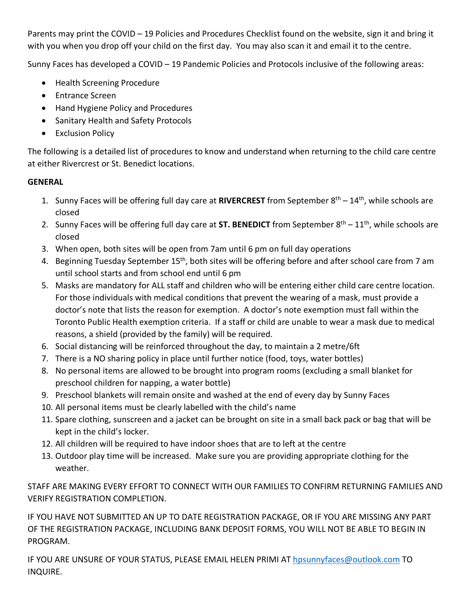Parents may print the COVID – 19 Policies and Procedures Checklist found on the website, sign it and bring it with you when you drop off your child on the first day. You may also scan it and email it to the centre.

Sunny Faces has developed a COVID – 19 Pandemic Policies and Protocols inclusive of the following areas:

- Health Screening Procedure
- Entrance Screen
- Hand Hygiene Policy and Procedures
- Sanitary Health and Safety Protocols
- Exclusion Policy

The following is a detailed list of procedures to know and understand when returning to the child care centre at either Rivercrest or St. Benedict locations.

# **GENERAL**

- 1. Sunny Faces will be offering full day care at **RIVERCREST** from September 8th 14th, while schools are closed
- 2. Sunny Faces will be offering full day care at **ST. BENEDICT** from September  $8<sup>th</sup> 11<sup>th</sup>$ , while schools are closed
- 3. When open, both sites will be open from 7am until 6 pm on full day operations
- 4. Beginning Tuesday September 15<sup>th</sup>, both sites will be offering before and after school care from 7 am until school starts and from school end until 6 pm
- 5. Masks are mandatory for ALL staff and children who will be entering either child care centre location. For those individuals with medical conditions that prevent the wearing of a mask, must provide a doctor's note that lists the reason for exemption. A doctor's note exemption must fall within the Toronto Public Health exemption criteria. If a staff or child are unable to wear a mask due to medical reasons, a shield (provided by the family) will be required.
- 6. Social distancing will be reinforced throughout the day, to maintain a 2 metre/6ft
- 7. There is a NO sharing policy in place until further notice (food, toys, water bottles)
- 8. No personal items are allowed to be brought into program rooms (excluding a small blanket for preschool children for napping, a water bottle)
- 9. Preschool blankets will remain onsite and washed at the end of every day by Sunny Faces
- 10. All personal items must be clearly labelled with the child's name
- 11. Spare clothing, sunscreen and a jacket can be brought on site in a small back pack or bag that will be kept in the child's locker.
- 12. All children will be required to have indoor shoes that are to left at the centre
- 13. Outdoor play time will be increased. Make sure you are providing appropriate clothing for the weather.

STAFF ARE MAKING EVERY EFFORT TO CONNECT WITH OUR FAMILIES TO CONFIRM RETURNING FAMILIES AND VERIFY REGISTRATION COMPLETION.

IF YOU HAVE NOT SUBMITTED AN UP TO DATE REGISTRATION PACKAGE, OR IF YOU ARE MISSING ANY PART OF THE REGISTRATION PACKAGE, INCLUDING BANK DEPOSIT FORMS, YOU WILL NOT BE ABLE TO BEGIN IN PROGRAM.

IF YOU ARE UNSURE OF YOUR STATUS, PLEASE EMAIL HELEN PRIMI AT [hpsunnyfaces@outlook.com](mailto:hpsunnyfaces@outlook.com) TO INQUIRE.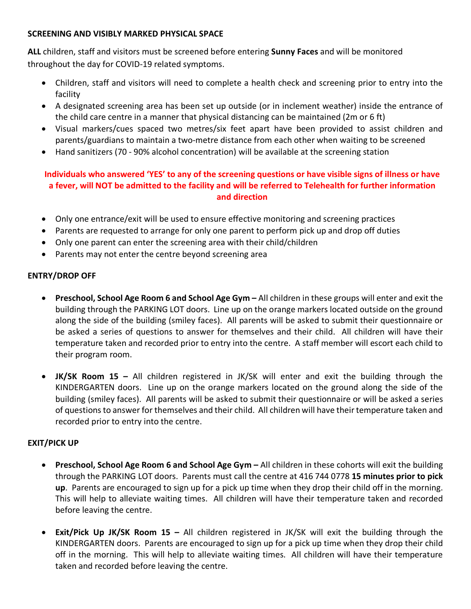#### **SCREENING AND VISIBLY MARKED PHYSICAL SPACE**

**ALL** children, staff and visitors must be screened before entering **Sunny Faces** and will be monitored throughout the day for COVID-19 related symptoms.

- Children, staff and visitors will need to complete a health check and screening prior to entry into the facility
- A designated screening area has been set up outside (or in inclement weather) inside the entrance of the child care centre in a manner that physical distancing can be maintained (2m or 6 ft)
- Visual markers/cues spaced two metres/six feet apart have been provided to assist children and parents/guardians to maintain a two-metre distance from each other when waiting to be screened
- Hand sanitizers (70 90% alcohol concentration) will be available at the screening station

# **Individuals who answered 'YES' to any of the screening questions or have visible signs of illness or have a fever, will NOT be admitted to the facility and will be referred to Telehealth for further information and direction**

- Only one entrance/exit will be used to ensure effective monitoring and screening practices
- Parents are requested to arrange for only one parent to perform pick up and drop off duties
- Only one parent can enter the screening area with their child/children
- Parents may not enter the centre beyond screening area

# **ENTRY/DROP OFF**

- **Preschool, School Age Room 6 and School Age Gym –** All children in these groups will enter and exit the building through the PARKING LOT doors. Line up on the orange markers located outside on the ground along the side of the building (smiley faces). All parents will be asked to submit their questionnaire or be asked a series of questions to answer for themselves and their child. All children will have their temperature taken and recorded prior to entry into the centre. A staff member will escort each child to their program room.
- **JK/SK Room 15 –** All children registered in JK/SK will enter and exit the building through the KINDERGARTEN doors. Line up on the orange markers located on the ground along the side of the building (smiley faces). All parents will be asked to submit their questionnaire or will be asked a series of questions to answer for themselves and their child. All children will have their temperature taken and recorded prior to entry into the centre.

### **EXIT/PICK UP**

- **Preschool, School Age Room 6 and School Age Gym –** All children in these cohorts will exit the building through the PARKING LOT doors. Parents must call the centre at 416 744 0778 **15 minutes prior to pick up**. Parents are encouraged to sign up for a pick up time when they drop their child off in the morning. This will help to alleviate waiting times. All children will have their temperature taken and recorded before leaving the centre.
- **Exit/Pick Up JK/SK Room 15 –** All children registered in JK/SK will exit the building through the KINDERGARTEN doors. Parents are encouraged to sign up for a pick up time when they drop their child off in the morning. This will help to alleviate waiting times. All children will have their temperature taken and recorded before leaving the centre.